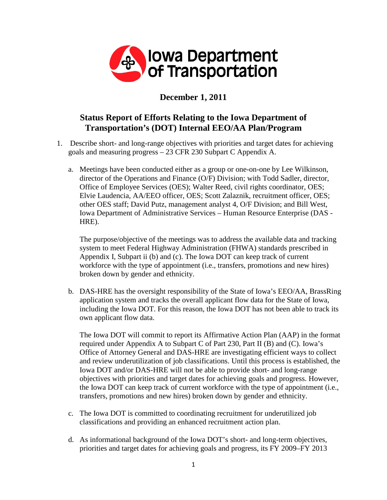

## **December 1, 2011**

## **Status Report of Efforts Relating to the Iowa Department of Transportation's (DOT) Internal EEO/AA Plan/Program**

- 1. Describe short- and long-range objectives with priorities and target dates for achieving goals and measuring progress – 23 CFR 230 Subpart C Appendix A.
	- a. Meetings have been conducted either as a group or one-on-one by Lee Wilkinson, director of the Operations and Finance (O/F) Division; with Todd Sadler, director, Office of Employee Services (OES); Walter Reed, civil rights coordinator, OES; Elvie Laudencia, AA/EEO officer, OES; Scott Zalaznik, recruitment officer, OES; other OES staff; David Putz, management analyst 4, O/F Division; and Bill West, Iowa Department of Administrative Services – Human Resource Enterprise (DAS - HRE).

The purpose/objective of the meetings was to address the available data and tracking system to meet Federal Highway Administration (FHWA) standards prescribed in Appendix I, Subpart ii (b) and (c). The Iowa DOT can keep track of current workforce with the type of appointment (i.e., transfers, promotions and new hires) broken down by gender and ethnicity.

b. DAS-HRE has the oversight responsibility of the State of Iowa's EEO/AA, BrassRing application system and tracks the overall applicant flow data for the State of Iowa, including the Iowa DOT. For this reason, the Iowa DOT has not been able to track its own applicant flow data.

The Iowa DOT will commit to report its Affirmative Action Plan (AAP) in the format required under Appendix A to Subpart C of Part 230, Part II (B) and (C). Iowa's Office of Attorney General and DAS-HRE are investigating efficient ways to collect and review underutilization of job classifications. Until this process is established, the Iowa DOT and/or DAS-HRE will not be able to provide short- and long-range objectives with priorities and target dates for achieving goals and progress. However, the Iowa DOT can keep track of current workforce with the type of appointment (i.e., transfers, promotions and new hires) broken down by gender and ethnicity.

- c. The Iowa DOT is committed to coordinating recruitment for underutilized job classifications and providing an enhanced recruitment action plan.
- d. As informational background of the Iowa DOT's short- and long-term objectives, priorities and target dates for achieving goals and progress, its FY 2009–FY 2013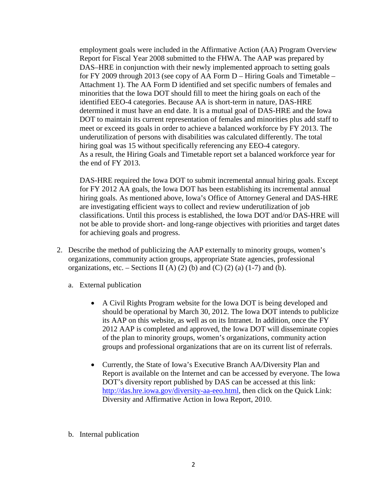employment goals were included in the Affirmative Action (AA) Program Overview Report for Fiscal Year 2008 submitted to the FHWA. The AAP was prepared by DAS–HRE in conjunction with their newly implemented approach to setting goals for FY 2009 through 2013 (see copy of AA Form D – Hiring Goals and Timetable – Attachment 1). The AA Form D identified and set specific numbers of females and minorities that the Iowa DOT should fill to meet the hiring goals on each of the identified EEO-4 categories. Because AA is short-term in nature, DAS-HRE determined it must have an end date. It is a mutual goal of DAS-HRE and the Iowa DOT to maintain its current representation of females and minorities plus add staff to meet or exceed its goals in order to achieve a balanced workforce by FY 2013. The underutilization of persons with disabilities was calculated differently. The total hiring goal was 15 without specifically referencing any EEO-4 category. As a result, the Hiring Goals and Timetable report set a balanced workforce year for the end of FY 2013.

DAS-HRE required the Iowa DOT to submit incremental annual hiring goals. Except for FY 2012 AA goals, the Iowa DOT has been establishing its incremental annual hiring goals. As mentioned above, Iowa's Office of Attorney General and DAS-HRE are investigating efficient ways to collect and review underutilization of job classifications. Until this process is established, the Iowa DOT and/or DAS-HRE will not be able to provide short- and long-range objectives with priorities and target dates for achieving goals and progress.

- 2. Describe the method of publicizing the AAP externally to minority groups, women's organizations, community action groups, appropriate State agencies, professional organizations, etc. – Sections II (A) (2) (b) and (C) (2) (a) (1-7) and (b).
	- a. External publication
		- A Civil Rights Program website for the Iowa DOT is being developed and should be operational by March 30, 2012. The Iowa DOT intends to publicize its AAP on this website, as well as on its Intranet. In addition, once the FY 2012 AAP is completed and approved, the Iowa DOT will disseminate copies of the plan to minority groups, women's organizations, community action groups and professional organizations that are on its current list of referrals.
		- Currently, the State of Iowa's Executive Branch AA/Diversity Plan and Report is available on the Internet and can be accessed by everyone. The Iowa DOT's diversity report published by DAS can be accessed at this link: [http://das.hre.iowa.gov/diversity-aa-eeo.html,](http://das.hre.iowa.gov/diversity-aa-eeo.html) then click on the Quick Link: Diversity and Affirmative Action in Iowa Report, 2010.
	- b. Internal publication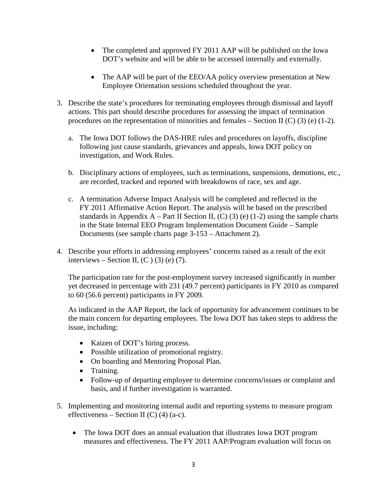- The completed and approved FY 2011 AAP will be published on the Iowa DOT's website and will be able to be accessed internally and externally.
- The AAP will be part of the EEO/AA policy overview presentation at New Employee Orientation sessions scheduled throughout the year.
- 3. Describe the state's procedures for terminating employees through dismissal and layoff actions. This part should describe procedures for assessing the impact of termination procedures on the representation of minorities and females – Section II  $(C)$  (3) (e) (1-2).
	- a. The Iowa DOT follows the DAS-HRE rules and procedures on layoffs, discipline following just cause standards, grievances and appeals, Iowa DOT policy on investigation, and Work Rules.
	- b. Disciplinary actions of employees, such as terminations, suspensions, demotions, etc., are recorded, tracked and reported with breakdowns of race, sex and age.
	- c. A termination Adverse Impact Analysis will be completed and reflected in the FY 2011 Affirmative Action Report. The analysis will be based on the prescribed standards in Appendix A – Part II Section II,  $(C)$  (3) (e) (1-2) using the sample charts in the State Internal EEO Program Implementation Document Guide – Sample Documents (see sample charts page 3-153 – Attachment 2).
- 4. Describe your efforts in addressing employees' concerns raised as a result of the exit interviews – Section II,  $(C)$  (3) (e) (7).

The participation rate for the post-employment survey increased significantly in number yet decreased in percentage with 231 (49.7 percent) participants in FY 2010 as compared to 60 (56.6 percent) participants in FY 2009.

As indicated in the AAP Report, the lack of opportunity for advancement continues to be the main concern for departing employees. The Iowa DOT has taken steps to address the issue, including:

- Kaizen of DOT's hiring process.
- Possible utilization of promotional registry.
- On boarding and Mentoring Proposal Plan.
- Training.
- Follow-up of departing employee to determine concerns/issues or complaint and basis, and if further investigation is warranted.
- 5. Implementing and monitoring internal audit and reporting systems to measure program effectiveness – Section II (C) (4) (a-c).
	- The Iowa DOT does an annual evaluation that illustrates Iowa DOT program measures and effectiveness. The FY 2011 AAP/Program evaluation will focus on